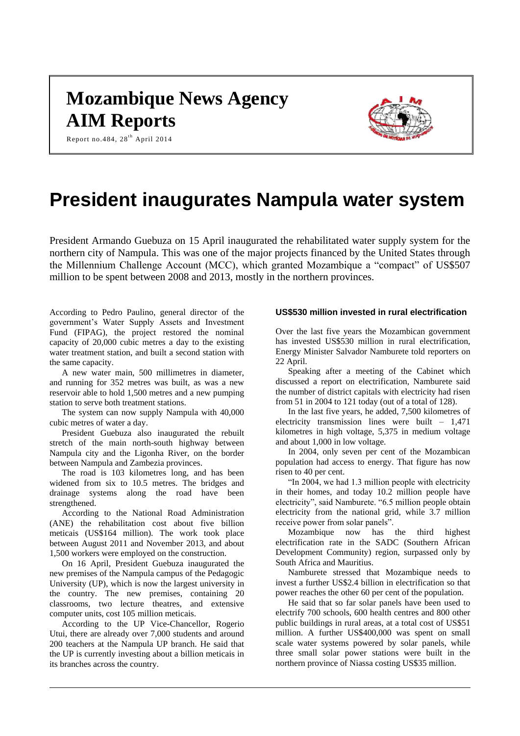# **Mozambique News Agency AIM Reports**



Report no.484,  $28^{th}$  April 2014

# **President inaugurates Nampula water system**

President Armando Guebuza on 15 April inaugurated the rehabilitated water supply system for the northern city of Nampula. This was one of the major projects financed by the United States through the Millennium Challenge Account (MCC), which granted Mozambique a "compact" of US\$507 million to be spent between 2008 and 2013, mostly in the northern provinces.

According to Pedro Paulino, general director of the government's Water Supply Assets and Investment Fund (FIPAG), the project restored the nominal capacity of 20,000 cubic metres a day to the existing water treatment station, and built a second station with the same capacity.

A new water main, 500 millimetres in diameter, and running for 352 metres was built, as was a new reservoir able to hold 1,500 metres and a new pumping station to serve both treatment stations.

The system can now supply Nampula with 40,000 cubic metres of water a day.

President Guebuza also inaugurated the rebuilt stretch of the main north-south highway between Nampula city and the Ligonha River, on the border between Nampula and Zambezia provinces.

The road is 103 kilometres long, and has been widened from six to 10.5 metres. The bridges and drainage systems along the road have been strengthened.

According to the National Road Administration (ANE) the rehabilitation cost about five billion meticais (US\$164 million). The work took place between August 2011 and November 2013, and about 1,500 workers were employed on the construction.

On 16 April, President Guebuza inaugurated the new premises of the Nampula campus of the Pedagogic University (UP), which is now the largest university in the country. The new premises, containing 20 classrooms, two lecture theatres, and extensive computer units, cost 105 million meticais.

According to the UP Vice-Chancellor, Rogerio Utui, there are already over 7,000 students and around 200 teachers at the Nampula UP branch. He said that the UP is currently investing about a billion meticais in its branches across the country.

## **US\$530 million invested in rural electrification**

Over the last five years the Mozambican government has invested US\$530 million in rural electrification, Energy Minister Salvador Namburete told reporters on 22 April.

Speaking after a meeting of the Cabinet which discussed a report on electrification, Namburete said the number of district capitals with electricity had risen from 51 in 2004 to 121 today (out of a total of 128).

In the last five years, he added, 7,500 kilometres of electricity transmission lines were built – 1,471 kilometres in high voltage, 5,375 in medium voltage and about 1,000 in low voltage.

In 2004, only seven per cent of the Mozambican population had access to energy. That figure has now risen to 40 per cent.

"In 2004, we had 1.3 million people with electricity in their homes, and today 10.2 million people have electricity", said Namburete. "6.5 million people obtain electricity from the national grid, while 3.7 million receive power from solar panels".

Mozambique now has the third highest electrification rate in the SADC (Southern African Development Community) region, surpassed only by South Africa and Mauritius.

Namburete stressed that Mozambique needs to invest a further US\$2.4 billion in electrification so that power reaches the other 60 per cent of the population.

He said that so far solar panels have been used to electrify 700 schools, 600 health centres and 800 other public buildings in rural areas, at a total cost of US\$51 million. A further US\$400,000 was spent on small scale water systems powered by solar panels, while three small solar power stations were built in the northern province of Niassa costing US\$35 million.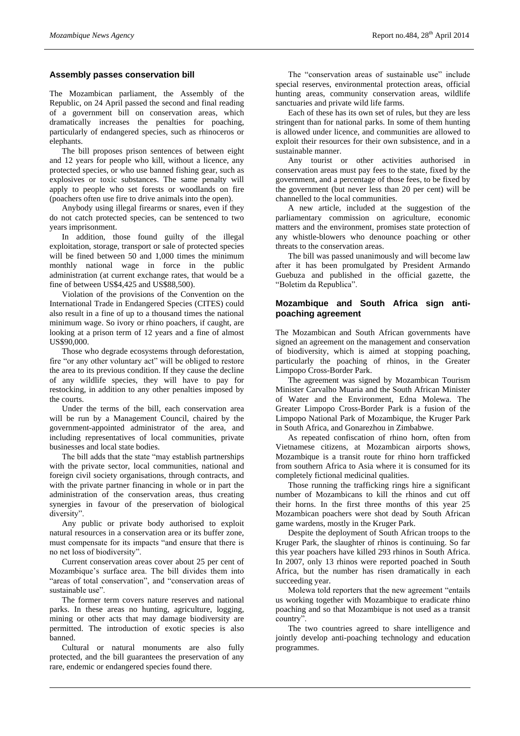#### **Assembly passes conservation bill**

The Mozambican parliament, the Assembly of the Republic, on 24 April passed the second and final reading of a government bill on conservation areas, which dramatically increases the penalties for poaching, particularly of endangered species, such as rhinoceros or elephants.

The bill proposes prison sentences of between eight and 12 years for people who kill, without a licence, any protected species, or who use banned fishing gear, such as explosives or toxic substances. The same penalty will apply to people who set forests or woodlands on fire (poachers often use fire to drive animals into the open).

Anybody using illegal firearms or snares, even if they do not catch protected species, can be sentenced to two years imprisonment.

In addition, those found guilty of the illegal exploitation, storage, transport or sale of protected species will be fined between 50 and 1,000 times the minimum monthly national wage in force in the public administration (at current exchange rates, that would be a fine of between US\$4,425 and US\$88,500).

Violation of the provisions of the Convention on the International Trade in Endangered Species (CITES) could also result in a fine of up to a thousand times the national minimum wage. So ivory or rhino poachers, if caught, are looking at a prison term of 12 years and a fine of almost US\$90,000.

Those who degrade ecosystems through deforestation, fire "or any other voluntary act" will be obliged to restore the area to its previous condition. If they cause the decline of any wildlife species, they will have to pay for restocking, in addition to any other penalties imposed by the courts.

Under the terms of the bill, each conservation area will be run by a Management Council, chaired by the government-appointed administrator of the area, and including representatives of local communities, private businesses and local state bodies.

The bill adds that the state "may establish partnerships with the private sector, local communities, national and foreign civil society organisations, through contracts, and with the private partner financing in whole or in part the administration of the conservation areas, thus creating synergies in favour of the preservation of biological diversity".

Any public or private body authorised to exploit natural resources in a conservation area or its buffer zone, must compensate for its impacts "and ensure that there is no net loss of biodiversity".

Current conservation areas cover about 25 per cent of Mozambique's surface area. The bill divides them into "areas of total conservation", and "conservation areas of sustainable use".

The former term covers nature reserves and national parks. In these areas no hunting, agriculture, logging, mining or other acts that may damage biodiversity are permitted. The introduction of exotic species is also banned.

Cultural or natural monuments are also fully protected, and the bill guarantees the preservation of any rare, endemic or endangered species found there.

The "conservation areas of sustainable use" include special reserves, environmental protection areas, official hunting areas, community conservation areas, wildlife sanctuaries and private wild life farms.

Each of these has its own set of rules, but they are less stringent than for national parks. In some of them hunting is allowed under licence, and communities are allowed to exploit their resources for their own subsistence, and in a sustainable manner.

Any tourist or other activities authorised in conservation areas must pay fees to the state, fixed by the government, and a percentage of those fees, to be fixed by the government (but never less than 20 per cent) will be channelled to the local communities.

A new article, included at the suggestion of the parliamentary commission on agriculture, economic matters and the environment, promises state protection of any whistle-blowers who denounce poaching or other threats to the conservation areas.

The bill was passed unanimously and will become law after it has been promulgated by President Armando Guebuza and published in the official gazette, the "Boletim da Republica".

## **Mozambique and South Africa sign antipoaching agreement**

The Mozambican and South African governments have signed an agreement on the management and conservation of biodiversity, which is aimed at stopping poaching, particularly the poaching of rhinos, in the Greater Limpopo Cross-Border Park.

The agreement was signed by Mozambican Tourism Minister Carvalho Muaria and the South African Minister of Water and the Environment, Edna Molewa. The Greater Limpopo Cross-Border Park is a fusion of the Limpopo National Park of Mozambique, the Kruger Park in South Africa, and Gonarezhou in Zimbabwe.

As repeated confiscation of rhino horn, often from Vietnamese citizens, at Mozambican airports shows, Mozambique is a transit route for rhino horn trafficked from southern Africa to Asia where it is consumed for its completely fictional medicinal qualities.

Those running the trafficking rings hire a significant number of Mozambicans to kill the rhinos and cut off their horns. In the first three months of this year 25 Mozambican poachers were shot dead by South African game wardens, mostly in the Kruger Park.

Despite the deployment of South African troops to the Kruger Park, the slaughter of rhinos is continuing. So far this year poachers have killed 293 rhinos in South Africa. In 2007, only 13 rhinos were reported poached in South Africa, but the number has risen dramatically in each succeeding year.

Molewa told reporters that the new agreement "entails us working together with Mozambique to eradicate rhino poaching and so that Mozambique is not used as a transit country".

The two countries agreed to share intelligence and jointly develop anti-poaching technology and education programmes.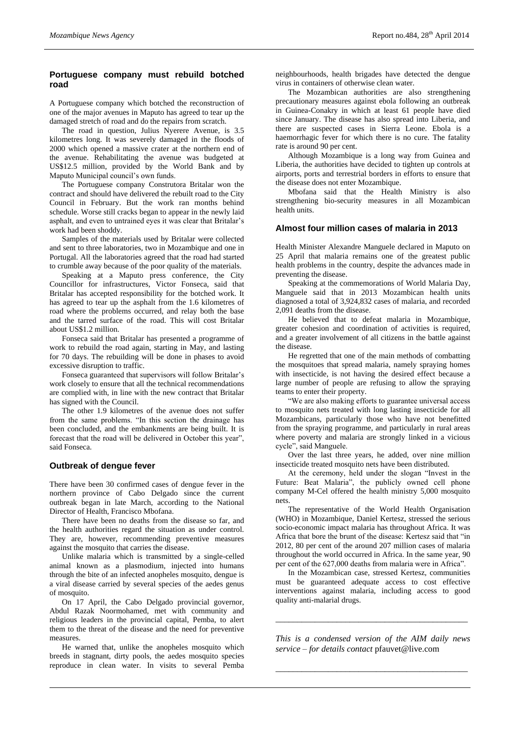#### **Portuguese company must rebuild botched road**

A Portuguese company which botched the reconstruction of one of the major avenues in Maputo has agreed to tear up the damaged stretch of road and do the repairs from scratch.

The road in question, Julius Nyerere Avenue, is 3.5 kilometres long. It was severely damaged in the floods of 2000 which opened a massive crater at the northern end of the avenue. Rehabilitating the avenue was budgeted at US\$12.5 million, provided by the World Bank and by Maputo Municipal council's own funds.

The Portuguese company Construtora Britalar won the contract and should have delivered the rebuilt road to the City Council in February. But the work ran months behind schedule. Worse still cracks began to appear in the newly laid asphalt, and even to untrained eyes it was clear that Britalar's work had been shoddy.

Samples of the materials used by Britalar were collected and sent to three laboratories, two in Mozambique and one in Portugal. All the laboratories agreed that the road had started to crumble away because of the poor quality of the materials.

Speaking at a Maputo press conference, the City Councillor for infrastructures, Victor Fonseca, said that Britalar has accepted responsibility for the botched work. It has agreed to tear up the asphalt from the 1.6 kilometres of road where the problems occurred, and relay both the base and the tarred surface of the road. This will cost Britalar about US\$1.2 million.

Fonseca said that Britalar has presented a programme of work to rebuild the road again, starting in May, and lasting for 70 days. The rebuilding will be done in phases to avoid excessive disruption to traffic.

Fonseca guaranteed that supervisors will follow Britalar's work closely to ensure that all the technical recommendations are complied with, in line with the new contract that Britalar has signed with the Council.

The other 1.9 kilometres of the avenue does not suffer from the same problems. "In this section the drainage has been concluded, and the embankments are being built. It is forecast that the road will be delivered in October this year", said Fonseca.

## **Outbreak of dengue fever**

There have been 30 confirmed cases of dengue fever in the northern province of Cabo Delgado since the current outbreak began in late March, according to the National Director of Health, Francisco Mbofana.

There have been no deaths from the disease so far, and the health authorities regard the situation as under control. They are, however, recommending preventive measures against the mosquito that carries the disease.

Unlike malaria which is transmitted by a single-celled animal known as a plasmodium, injected into humans through the bite of an infected anopheles mosquito, dengue is a viral disease carried by several species of the aedes genus of mosquito.

On 17 April, the Cabo Delgado provincial governor, Abdul Razak Noormohamed, met with community and religious leaders in the provincial capital, Pemba, to alert them to the threat of the disease and the need for preventive measures.

He warned that, unlike the anopheles mosquito which breeds in stagnant, dirty pools, the aedes mosquito species reproduce in clean water. In visits to several Pemba

neighbourhoods, health brigades have detected the dengue virus in containers of otherwise clean water.

The Mozambican authorities are also strengthening precautionary measures against ebola following an outbreak in Guinea-Conakry in which at least 61 people have died since January. The disease has also spread into Liberia, and there are suspected cases in Sierra Leone. Ebola is a haemorrhagic fever for which there is no cure. The fatality rate is around 90 per cent.

Although Mozambique is a long way from Guinea and Liberia, the authorities have decided to tighten up controls at airports, ports and terrestrial borders in efforts to ensure that the disease does not enter Mozambique.

Mbofana said that the Health Ministry is also strengthening bio-security measures in all Mozambican health units.

#### **Almost four million cases of malaria in 2013**

Health Minister Alexandre Manguele declared in Maputo on 25 April that malaria remains one of the greatest public health problems in the country, despite the advances made in preventing the disease.

Speaking at the commemorations of World Malaria Day, Manguele said that in 2013 Mozambican health units diagnosed a total of 3,924,832 cases of malaria, and recorded 2,091 deaths from the disease.

He believed that to defeat malaria in Mozambique, greater cohesion and coordination of activities is required, and a greater involvement of all citizens in the battle against the disease.

He regretted that one of the main methods of combatting the mosquitoes that spread malaria, namely spraying homes with insecticide, is not having the desired effect because a large number of people are refusing to allow the spraying teams to enter their property.

"We are also making efforts to guarantee universal access to mosquito nets treated with long lasting insecticide for all Mozambicans, particularly those who have not benefitted from the spraying programme, and particularly in rural areas where poverty and malaria are strongly linked in a vicious cycle", said Manguele.

Over the last three years, he added, over nine million insecticide treated mosquito nets have been distributed.

At the ceremony, held under the slogan "Invest in the Future: Beat Malaria", the publicly owned cell phone company M-Cel offered the health ministry 5,000 mosquito nets.

The representative of the World Health Organisation (WHO) in Mozambique, Daniel Kertesz, stressed the serious socio-economic impact malaria has throughout Africa. It was Africa that bore the brunt of the disease: Kertesz said that "in 2012, 80 per cent of the around 207 million cases of malaria throughout the world occurred in Africa. In the same year, 90 per cent of the 627,000 deaths from malaria were in Africa".

In the Mozambican case, stressed Kertesz, communities must be guaranteed adequate access to cost effective interventions against malaria, including access to good quality anti-malarial drugs.

*This is a condensed version of the AIM daily news service – for details contact* pfauvet@live.com

*\_\_\_\_\_\_\_\_\_\_\_\_\_\_\_\_\_\_\_\_\_\_\_\_\_\_\_\_\_\_\_\_\_\_\_\_\_\_\_\_\_\_\_\_*

*\_\_\_\_\_\_\_\_\_\_\_\_\_\_\_\_\_\_\_\_\_\_\_\_\_\_\_\_\_\_\_\_\_\_\_\_\_\_\_\_\_\_\_\_*